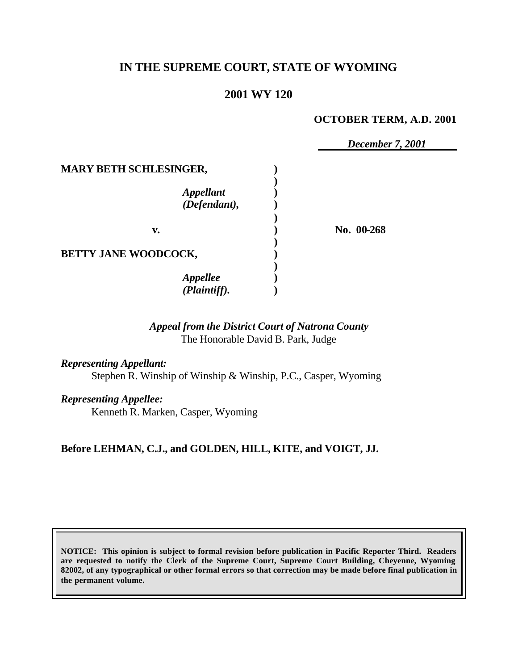# **IN THE SUPREME COURT, STATE OF WYOMING**

## **2001 WY 120**

#### **OCTOBER TERM, A.D. 2001**

*December 7, 2001*

| <b>MARY BETH SCHLESINGER,</b>    |            |
|----------------------------------|------------|
| <b>Appellant</b><br>(Defendant), |            |
| v.                               | No. 00-268 |
| BETTY JANE WOODCOCK,             |            |
| Appellee<br>(Plaintiff).         |            |

### *Appeal from the District Court of Natrona County* The Honorable David B. Park, Judge

*Representing Appellant:*

Stephen R. Winship of Winship & Winship, P.C., Casper, Wyoming

*Representing Appellee:*

Kenneth R. Marken, Casper, Wyoming

## **Before LEHMAN, C.J., and GOLDEN, HILL, KITE, and VOIGT, JJ.**

**NOTICE: This opinion is subject to formal revision before publication in Pacific Reporter Third. Readers are requested to notify the Clerk of the Supreme Court, Supreme Court Building, Cheyenne, Wyoming 82002, of any typographical or other formal errors so that correction may be made before final publication in the permanent volume.**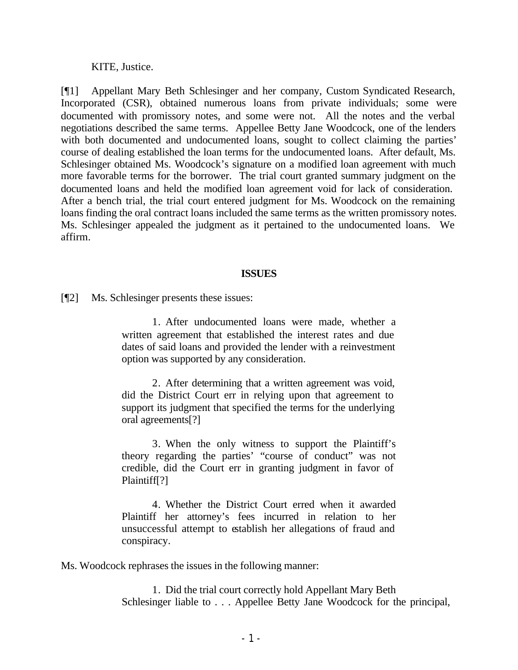KITE, Justice.

[¶1] Appellant Mary Beth Schlesinger and her company, Custom Syndicated Research, Incorporated (CSR), obtained numerous loans from private individuals; some were documented with promissory notes, and some were not. All the notes and the verbal negotiations described the same terms. Appellee Betty Jane Woodcock, one of the lenders with both documented and undocumented loans, sought to collect claiming the parties' course of dealing established the loan terms for the undocumented loans. After default, Ms. Schlesinger obtained Ms. Woodcock's signature on a modified loan agreement with much more favorable terms for the borrower. The trial court granted summary judgment on the documented loans and held the modified loan agreement void for lack of consideration. After a bench trial, the trial court entered judgment for Ms. Woodcock on the remaining loans finding the oral contract loans included the same terms as the written promissory notes. Ms. Schlesinger appealed the judgment as it pertained to the undocumented loans. We affirm.

#### **ISSUES**

[¶2] Ms. Schlesinger presents these issues:

1. After undocumented loans were made, whether a written agreement that established the interest rates and due dates of said loans and provided the lender with a reinvestment option was supported by any consideration.

2. After determining that a written agreement was void, did the District Court err in relying upon that agreement to support its judgment that specified the terms for the underlying oral agreements[?]

3. When the only witness to support the Plaintiff's theory regarding the parties' "course of conduct" was not credible, did the Court err in granting judgment in favor of Plaintiff[?]

4. Whether the District Court erred when it awarded Plaintiff her attorney's fees incurred in relation to her unsuccessful attempt to establish her allegations of fraud and conspiracy.

Ms. Woodcock rephrases the issues in the following manner:

1. Did the trial court correctly hold Appellant Mary Beth Schlesinger liable to . . . Appellee Betty Jane Woodcock for the principal,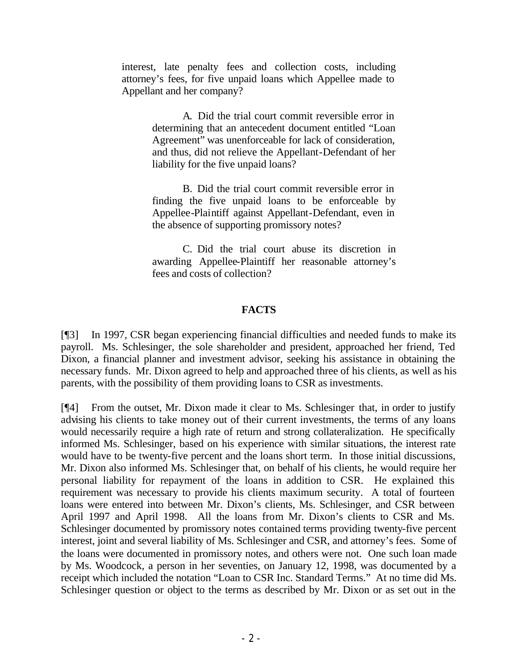interest, late penalty fees and collection costs, including attorney's fees, for five unpaid loans which Appellee made to Appellant and her company?

> A. Did the trial court commit reversible error in determining that an antecedent document entitled "Loan Agreement" was unenforceable for lack of consideration, and thus, did not relieve the Appellant-Defendant of her liability for the five unpaid loans?

> B. Did the trial court commit reversible error in finding the five unpaid loans to be enforceable by Appellee-Plaintiff against Appellant-Defendant, even in the absence of supporting promissory notes?

> C. Did the trial court abuse its discretion in awarding Appellee-Plaintiff her reasonable attorney's fees and costs of collection?

### **FACTS**

[¶3] In 1997, CSR began experiencing financial difficulties and needed funds to make its payroll. Ms. Schlesinger, the sole shareholder and president, approached her friend, Ted Dixon, a financial planner and investment advisor, seeking his assistance in obtaining the necessary funds. Mr. Dixon agreed to help and approached three of his clients, as well as his parents, with the possibility of them providing loans to CSR as investments.

[¶4] From the outset, Mr. Dixon made it clear to Ms. Schlesinger that, in order to justify advising his clients to take money out of their current investments, the terms of any loans would necessarily require a high rate of return and strong collateralization. He specifically informed Ms. Schlesinger, based on his experience with similar situations, the interest rate would have to be twenty-five percent and the loans short term. In those initial discussions, Mr. Dixon also informed Ms. Schlesinger that, on behalf of his clients, he would require her personal liability for repayment of the loans in addition to CSR. He explained this requirement was necessary to provide his clients maximum security. A total of fourteen loans were entered into between Mr. Dixon's clients, Ms. Schlesinger, and CSR between April 1997 and April 1998. All the loans from Mr. Dixon's clients to CSR and Ms. Schlesinger documented by promissory notes contained terms providing twenty-five percent interest, joint and several liability of Ms. Schlesinger and CSR, and attorney's fees. Some of the loans were documented in promissory notes, and others were not. One such loan made by Ms. Woodcock, a person in her seventies, on January 12, 1998, was documented by a receipt which included the notation "Loan to CSR Inc. Standard Terms." At no time did Ms. Schlesinger question or object to the terms as described by Mr. Dixon or as set out in the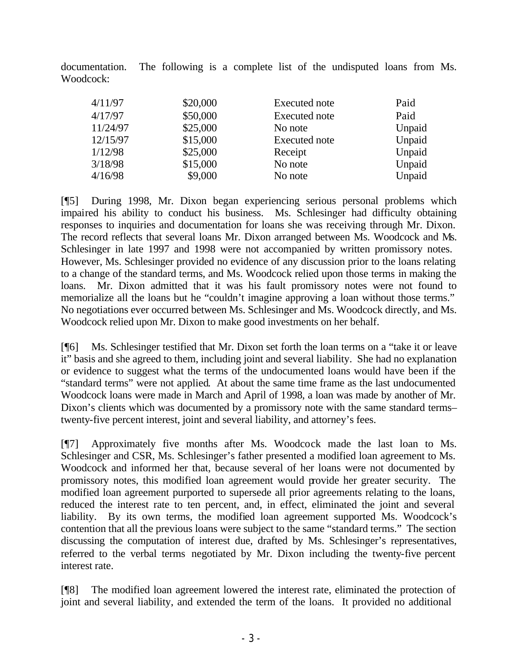documentation. The following is a complete list of the undisputed loans from Ms. Woodcock:

| 4/11/97  | \$20,000 | Executed note        | Paid   |
|----------|----------|----------------------|--------|
| 4/17/97  | \$50,000 | <b>Executed</b> note | Paid   |
| 11/24/97 | \$25,000 | No note              | Unpaid |
| 12/15/97 | \$15,000 | <b>Executed</b> note | Unpaid |
| 1/12/98  | \$25,000 | Receipt              | Unpaid |
| 3/18/98  | \$15,000 | No note              | Unpaid |
| 4/16/98  | \$9,000  | No note              | Unpaid |

[¶5] During 1998, Mr. Dixon began experiencing serious personal problems which impaired his ability to conduct his business. Ms. Schlesinger had difficulty obtaining responses to inquiries and documentation for loans she was receiving through Mr. Dixon. The record reflects that several loans Mr. Dixon arranged between Ms. Woodcock and Ms. Schlesinger in late 1997 and 1998 were not accompanied by written promissory notes. However, Ms. Schlesinger provided no evidence of any discussion prior to the loans relating to a change of the standard terms, and Ms. Woodcock relied upon those terms in making the loans. Mr. Dixon admitted that it was his fault promissory notes were not found to memorialize all the loans but he "couldn't imagine approving a loan without those terms." No negotiations ever occurred between Ms. Schlesinger and Ms. Woodcock directly, and Ms. Woodcock relied upon Mr. Dixon to make good investments on her behalf.

[¶6] Ms. Schlesinger testified that Mr. Dixon set forth the loan terms on a "take it or leave it" basis and she agreed to them, including joint and several liability. She had no explanation or evidence to suggest what the terms of the undocumented loans would have been if the "standard terms" were not applied. At about the same time frame as the last undocumented Woodcock loans were made in March and April of 1998, a loan was made by another of Mr. Dixon's clients which was documented by a promissory note with the same standard terms– twenty-five percent interest, joint and several liability, and attorney's fees.

[¶7] Approximately five months after Ms. Woodcock made the last loan to Ms. Schlesinger and CSR, Ms. Schlesinger's father presented a modified loan agreement to Ms. Woodcock and informed her that, because several of her loans were not documented by promissory notes, this modified loan agreement would provide her greater security. The modified loan agreement purported to supersede all prior agreements relating to the loans, reduced the interest rate to ten percent, and, in effect, eliminated the joint and several liability. By its own terms, the modified loan agreement supported Ms. Woodcock's contention that all the previous loans were subject to the same "standard terms." The section discussing the computation of interest due, drafted by Ms. Schlesinger's representatives, referred to the verbal terms negotiated by Mr. Dixon including the twenty-five percent interest rate.

[¶8] The modified loan agreement lowered the interest rate, eliminated the protection of joint and several liability, and extended the term of the loans. It provided no additional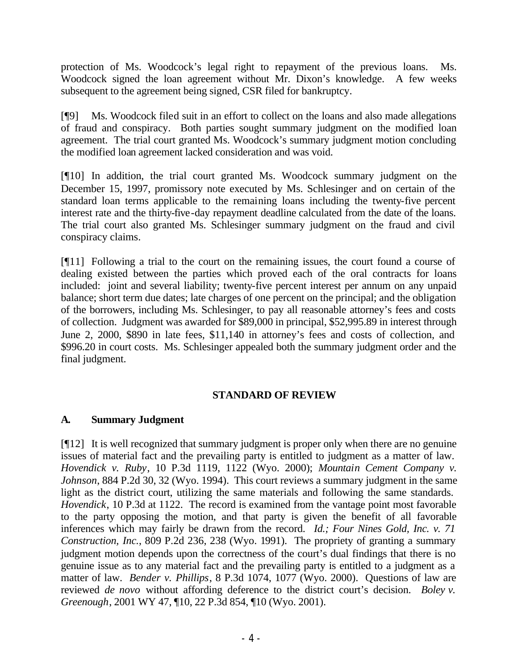protection of Ms. Woodcock's legal right to repayment of the previous loans. Ms. Woodcock signed the loan agreement without Mr. Dixon's knowledge. A few weeks subsequent to the agreement being signed, CSR filed for bankruptcy.

[¶9] Ms. Woodcock filed suit in an effort to collect on the loans and also made allegations of fraud and conspiracy. Both parties sought summary judgment on the modified loan agreement. The trial court granted Ms. Woodcock's summary judgment motion concluding the modified loan agreement lacked consideration and was void.

[¶10] In addition, the trial court granted Ms. Woodcock summary judgment on the December 15, 1997, promissory note executed by Ms. Schlesinger and on certain of the standard loan terms applicable to the remaining loans including the twenty-five percent interest rate and the thirty-five-day repayment deadline calculated from the date of the loans. The trial court also granted Ms. Schlesinger summary judgment on the fraud and civil conspiracy claims.

[¶11] Following a trial to the court on the remaining issues, the court found a course of dealing existed between the parties which proved each of the oral contracts for loans included: joint and several liability; twenty-five percent interest per annum on any unpaid balance; short term due dates; late charges of one percent on the principal; and the obligation of the borrowers, including Ms. Schlesinger, to pay all reasonable attorney's fees and costs of collection. Judgment was awarded for \$89,000 in principal, \$52,995.89 in interest through June 2, 2000, \$890 in late fees, \$11,140 in attorney's fees and costs of collection, and \$996.20 in court costs. Ms. Schlesinger appealed both the summary judgment order and the final judgment.

## **STANDARD OF REVIEW**

## **A. Summary Judgment**

[¶12] It is well recognized that summary judgment is proper only when there are no genuine issues of material fact and the prevailing party is entitled to judgment as a matter of law. *Hovendick v. Ruby*, 10 P.3d 1119, 1122 (Wyo. 2000); *Mountain Cement Company v. Johnson*, 884 P.2d 30, 32 (Wyo. 1994). This court reviews a summary judgment in the same light as the district court, utilizing the same materials and following the same standards. *Hovendick*, 10 P.3d at 1122. The record is examined from the vantage point most favorable to the party opposing the motion, and that party is given the benefit of all favorable inferences which may fairly be drawn from the record. *Id.; Four Nines Gold, Inc. v. 71 Construction, Inc.*, 809 P.2d 236, 238 (Wyo. 1991). The propriety of granting a summary judgment motion depends upon the correctness of the court's dual findings that there is no genuine issue as to any material fact and the prevailing party is entitled to a judgment as a matter of law. *Bender v. Phillips*, 8 P.3d 1074, 1077 (Wyo. 2000). Questions of law are reviewed *de novo* without affording deference to the district court's decision. *Boley v. Greenough*, 2001 WY 47, ¶10, 22 P.3d 854, ¶10 (Wyo. 2001).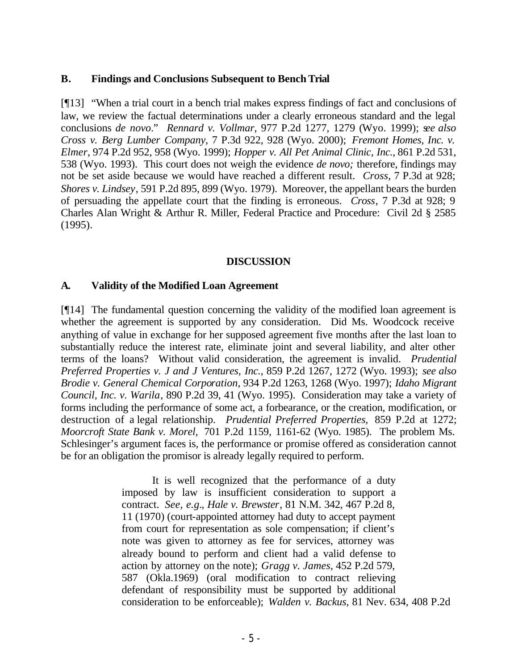#### **B. Findings and Conclusions Subsequent to Bench Trial**

[¶13] "When a trial court in a bench trial makes express findings of fact and conclusions of law, we review the factual determinations under a clearly erroneous standard and the legal conclusions *de novo*." *Rennard v. Vollmar*, 977 P.2d 1277, 1279 (Wyo. 1999); s*ee also Cross v. Berg Lumber Company*, 7 P.3d 922, 928 (Wyo. 2000); *Fremont Homes, Inc. v. Elmer*, 974 P.2d 952, 958 (Wyo. 1999); *Hopper v. All Pet Animal Clinic, Inc.*, 861 P.2d 531, 538 (Wyo. 1993). This court does not weigh the evidence *de novo;* therefore, findings may not be set aside because we would have reached a different result. *Cross*, 7 P.3d at 928; *Shores v. Lindsey*, 591 P.2d 895, 899 (Wyo. 1979). Moreover, the appellant bears the burden of persuading the appellate court that the finding is erroneous. *Cross*, 7 P.3d at 928; 9 Charles Alan Wright & Arthur R. Miller, Federal Practice and Procedure: Civil 2d § 2585 (1995).

#### **DISCUSSION**

#### **A. Validity of the Modified Loan Agreement**

[¶14] The fundamental question concerning the validity of the modified loan agreement is whether the agreement is supported by any consideration. Did Ms. Woodcock receive anything of value in exchange for her supposed agreement five months after the last loan to substantially reduce the interest rate, eliminate joint and several liability, and alter other terms of the loans? Without valid consideration, the agreement is invalid. *Prudential Preferred Properties v. J and J Ventures, Inc.*, 859 P.2d 1267, 1272 (Wyo. 1993); *see also Brodie v. General Chemical Corporation*, 934 P.2d 1263, 1268 (Wyo. 1997); *Idaho Migrant Council, Inc. v. Warila*, 890 P.2d 39, 41 (Wyo. 1995). Consideration may take a variety of forms including the performance of some act, a forbearance, or the creation, modification, or destruction of a legal relationship. *Prudential Preferred Properties,* 859 P.2d at 1272; *Moorcroft State Bank v. Morel,* 701 P.2d 1159, 1161-62 (Wyo. 1985). The problem Ms. Schlesinger's argument faces is, the performance or promise offered as consideration cannot be for an obligation the promisor is already legally required to perform.

> It is well recognized that the performance of a duty imposed by law is insufficient consideration to support a contract. *See, e.g.*, *Hale v. Brewster*, 81 N.M. 342, 467 P.2d 8, 11 (1970) (court-appointed attorney had duty to accept payment from court for representation as sole compensation; if client's note was given to attorney as fee for services, attorney was already bound to perform and client had a valid defense to action by attorney on the note); *Gragg v. James*, 452 P.2d 579, 587 (Okla.1969) (oral modification to contract relieving defendant of responsibility must be supported by additional consideration to be enforceable); *Walden v. Backus*, 81 Nev. 634, 408 P.2d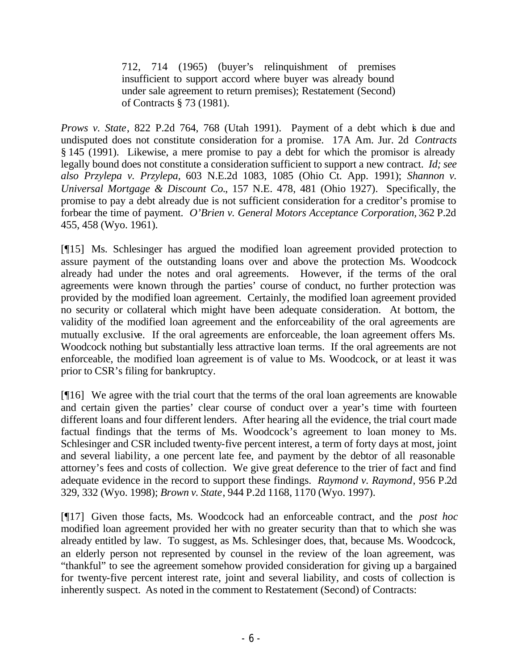712, 714 (1965) (buyer's relinquishment of premises insufficient to support accord where buyer was already bound under sale agreement to return premises); Restatement (Second) of Contracts § 73 (1981).

*Prows v. State*, 822 P.2d 764, 768 (Utah 1991). Payment of a debt which is due and undisputed does not constitute consideration for a promise. 17A Am. Jur. 2d *Contracts* § 145 (1991). Likewise, a mere promise to pay a debt for which the promisor is already legally bound does not constitute a consideration sufficient to support a new contract. *Id; see also Przylepa v. Przylepa,* 603 N.E.2d 1083, 1085 (Ohio Ct. App. 1991); *Shannon v. Universal Mortgage & Discount Co.*, 157 N.E. 478, 481 (Ohio 1927).Specifically, the promise to pay a debt already due is not sufficient consideration for a creditor's promise to forbear the time of payment. *O'Brien v. General Motors Acceptance Corporation,* 362 P.2d 455, 458 (Wyo. 1961).

[¶15] Ms. Schlesinger has argued the modified loan agreement provided protection to assure payment of the outstanding loans over and above the protection Ms. Woodcock already had under the notes and oral agreements. However, if the terms of the oral agreements were known through the parties' course of conduct, no further protection was provided by the modified loan agreement. Certainly, the modified loan agreement provided no security or collateral which might have been adequate consideration. At bottom, the validity of the modified loan agreement and the enforceability of the oral agreements are mutually exclusive. If the oral agreements are enforceable, the loan agreement offers Ms. Woodcock nothing but substantially less attractive loan terms. If the oral agreements are not enforceable, the modified loan agreement is of value to Ms. Woodcock, or at least it was prior to CSR's filing for bankruptcy.

[¶16] We agree with the trial court that the terms of the oral loan agreements are knowable and certain given the parties' clear course of conduct over a year's time with fourteen different loans and four different lenders. After hearing all the evidence, the trial court made factual findings that the terms of Ms. Woodcock's agreement to loan money to Ms. Schlesinger and CSR included twenty-five percent interest, a term of forty days at most, joint and several liability, a one percent late fee, and payment by the debtor of all reasonable attorney's fees and costs of collection. We give great deference to the trier of fact and find adequate evidence in the record to support these findings. *Raymond v. Raymond*, 956 P.2d 329, 332 (Wyo. 1998); *Brown v. State*, 944 P.2d 1168, 1170 (Wyo. 1997).

[¶17] Given those facts, Ms. Woodcock had an enforceable contract, and the *post hoc* modified loan agreement provided her with no greater security than that to which she was already entitled by law. To suggest, as Ms. Schlesinger does, that, because Ms. Woodcock, an elderly person not represented by counsel in the review of the loan agreement, was "thankful" to see the agreement somehow provided consideration for giving up a bargained for twenty-five percent interest rate, joint and several liability, and costs of collection is inherently suspect. As noted in the comment to Restatement (Second) of Contracts: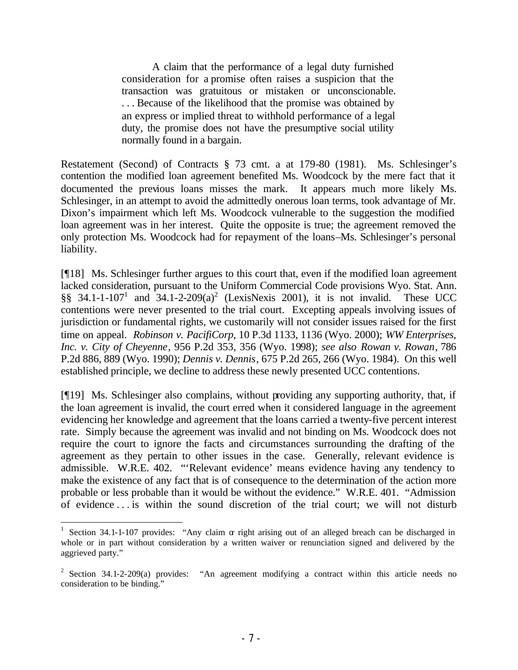A claim that the performance of a legal duty furnished consideration for a promise often raises a suspicion that the transaction was gratuitous or mistaken or unconscionable. . . . Because of the likelihood that the promise was obtained by an express or implied threat to withhold performance of a legal duty, the promise does not have the presumptive social utility normally found in a bargain.

Restatement (Second) of Contracts § 73 cmt. a at 179-80 (1981). Ms. Schlesinger's contention the modified loan agreement benefited Ms. Woodcock by the mere fact that it documented the previous loans misses the mark. It appears much more likely Ms. Schlesinger, in an attempt to avoid the admittedly onerous loan terms, took advantage of Mr. Dixon's impairment which left Ms. Woodcock vulnerable to the suggestion the modified loan agreement was in her interest. Quite the opposite is true; the agreement removed the only protection Ms. Woodcock had for repayment of the loans–Ms. Schlesinger's personal liability.

[¶18] Ms. Schlesinger further argues to this court that, even if the modified loan agreement lacked consideration, pursuant to the Uniform Commercial Code provisions Wyo. Stat. Ann. §§ 34.1-1-107<sup>1</sup> and  $34.1$ -2-209(a)<sup>2</sup> (LexisNexis 2001), it is not invalid. These UCC contentions were never presented to the trial court. Excepting appeals involving issues of jurisdiction or fundamental rights, we customarily will not consider issues raised for the first time on appeal. *Robinson v. PacifiCorp*, 10 P.3d 1133, 1136 (Wyo. 2000); *WW Enterprises, Inc. v. City of Cheyenne*, 956 P.2d 353, 356 (Wyo. 1998); *see also Rowan v. Rowan*, 786 P.2d 886, 889 (Wyo. 1990); *Dennis v. Dennis*, 675 P.2d 265, 266 (Wyo. 1984). On this well established principle, we decline to address these newly presented UCC contentions.

[¶19] Ms. Schlesinger also complains, without providing any supporting authority, that, if the loan agreement is invalid, the court erred when it considered language in the agreement evidencing her knowledge and agreement that the loans carried a twenty-five percent interest rate. Simply because the agreement was invalid and not binding on Ms. Woodcock does not require the court to ignore the facts and circumstances surrounding the drafting of the agreement as they pertain to other issues in the case. Generally, relevant evidence is admissible. W.R.E. 402. "'Relevant evidence' means evidence having any tendency to make the existence of any fact that is of consequence to the determination of the action more probable or less probable than it would be without the evidence." W.R.E. 401. "Admission of evidence . . . is within the sound discretion of the trial court; we will not disturb

<sup>&</sup>lt;sup>1</sup> Section 34.1-1-107 provides: "Any claim  $\alpha$  right arising out of an alleged breach can be discharged in whole or in part without consideration by a written waiver or renunciation signed and delivered by the aggrieved party."

<sup>&</sup>lt;sup>2</sup> Section 34.1-2-209(a) provides: "An agreement modifying a contract within this article needs no consideration to be binding."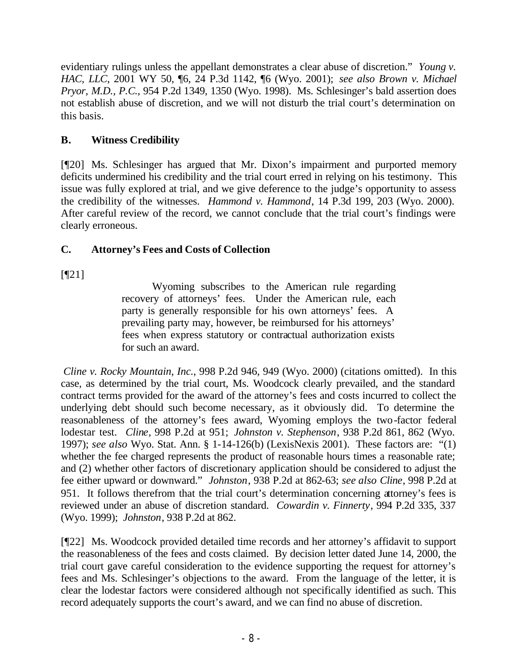evidentiary rulings unless the appellant demonstrates a clear abuse of discretion." *Young v. HAC, LLC*, 2001 WY 50, ¶6, 24 P.3d 1142, ¶6 (Wyo. 2001); *see also Brown v. Michael Pryor, M.D., P.C.*, 954 P.2d 1349, 1350 (Wyo. 1998). Ms. Schlesinger's bald assertion does not establish abuse of discretion, and we will not disturb the trial court's determination on this basis.

# **B. Witness Credibility**

[¶20] Ms. Schlesinger has argued that Mr. Dixon's impairment and purported memory deficits undermined his credibility and the trial court erred in relying on his testimony. This issue was fully explored at trial, and we give deference to the judge's opportunity to assess the credibility of the witnesses. *Hammond v. Hammond*, 14 P.3d 199, 203 (Wyo. 2000). After careful review of the record, we cannot conclude that the trial court's findings were clearly erroneous.

# **C. Attorney's Fees and Costs of Collection**

[¶21]

Wyoming subscribes to the American rule regarding recovery of attorneys' fees. Under the American rule, each party is generally responsible for his own attorneys' fees. A prevailing party may, however, be reimbursed for his attorneys' fees when express statutory or contractual authorization exists for such an award.

*Cline v. Rocky Mountain, Inc.*, 998 P.2d 946, 949 (Wyo. 2000) (citations omitted). In this case, as determined by the trial court, Ms. Woodcock clearly prevailed, and the standard contract terms provided for the award of the attorney's fees and costs incurred to collect the underlying debt should such become necessary, as it obviously did. To determine the reasonableness of the attorney's fees award, Wyoming employs the two-factor federal lodestar test. *Cline,* 998 P.2d at 951; *Johnston v. Stephenson*, 938 P.2d 861, 862 (Wyo. 1997); *see also* Wyo. Stat. Ann. § 1-14-126(b) (LexisNexis 2001). These factors are: "(1) whether the fee charged represents the product of reasonable hours times a reasonable rate; and (2) whether other factors of discretionary application should be considered to adjust the fee either upward or downward." *Johnston*, 938 P.2d at 862-63; *see also Cline*, 998 P.2d at 951. It follows therefrom that the trial court's determination concerning attorney's fees is reviewed under an abuse of discretion standard. *Cowardin v. Finnerty*, 994 P.2d 335, 337 (Wyo. 1999); *Johnston*, 938 P.2d at 862.

[¶22] Ms. Woodcock provided detailed time records and her attorney's affidavit to support the reasonableness of the fees and costs claimed. By decision letter dated June 14, 2000, the trial court gave careful consideration to the evidence supporting the request for attorney's fees and Ms. Schlesinger's objections to the award. From the language of the letter, it is clear the lodestar factors were considered although not specifically identified as such. This record adequately supports the court's award, and we can find no abuse of discretion.